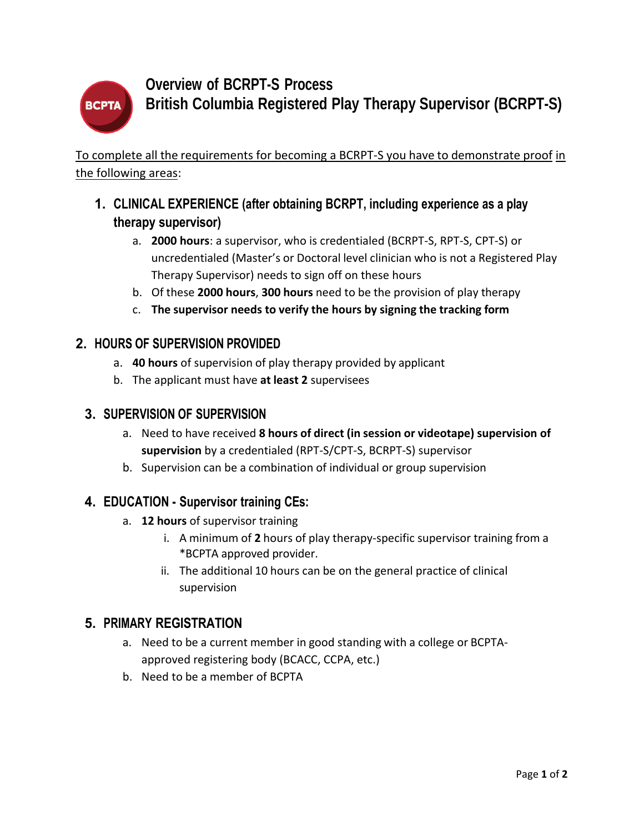

# **Overview of BCRPT-S Process British Columbia Registered Play Therapy Supervisor (BCRPT-S)**

To complete all the requirements for becoming a BCRPT-S you have to demonstrate proof in the following areas:

## **1. CLINICAL EXPERIENCE (after obtaining BCRPT, including experience as a play therapy supervisor)**

- a. **2000 hours**: a supervisor, who is credentialed (BCRPT-S, RPT-S, CPT-S) or uncredentialed (Master's or Doctoral level clinician who is not a Registered Play Therapy Supervisor) needs to sign off on these hours
- b. Of these **2000 hours**, **300 hours** need to be the provision of play therapy
- c. **The supervisor needs to verify the hours by signing the tracking form**

### **2. HOURS OF SUPERVISION PROVIDED**

- a. **40 hours** of supervision of play therapy provided by applicant
- b. The applicant must have **at least 2** supervisees

### **3. SUPERVISION OF SUPERVISION**

- a. Need to have received **8 hours of direct (in session or videotape) supervision of supervision** by a credentialed (RPT-S/CPT-S, BCRPT-S) supervisor
- b. Supervision can be a combination of individual or group supervision

### **4. EDUCATION - Supervisor training CEs:**

- a. **12 hours** of supervisor training
	- i. A minimum of **2** hours of play therapy-specific supervisor training from a \*BCPTA approved provider.
	- ii. The additional 10 hours can be on the general practice of clinical supervision

### **5. PRIMARY REGISTRATION**

- a. Need to be a current member in good standing with a college or BCPTAapproved registering body (BCACC, CCPA, etc.)
- b. Need to be a member of BCPTA